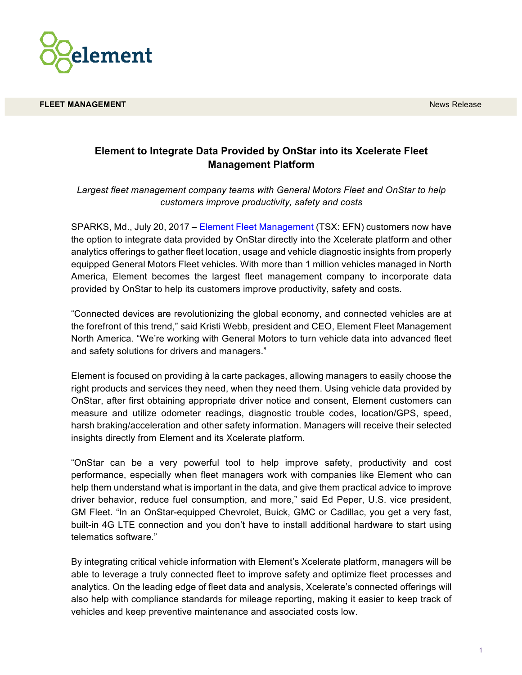

**FLEET MANAGEMENT** News Release and the contract of the contract of the contract of the contract of the contract of the contract of the contract of the contract of the contract of the contract of the contract of the contra

## **Element to Integrate Data Provided by OnStar into its Xcelerate Fleet Management Platform**

*Largest fleet management company teams with General Motors Fleet and OnStar to help customers improve productivity, safety and costs*

SPARKS, Md., July 20, 2017 – Element Fleet Management (TSX: EFN) customers now have the option to integrate data provided by OnStar directly into the Xcelerate platform and other analytics offerings to gather fleet location, usage and vehicle diagnostic insights from properly equipped General Motors Fleet vehicles. With more than 1 million vehicles managed in North America, Element becomes the largest fleet management company to incorporate data provided by OnStar to help its customers improve productivity, safety and costs.

"Connected devices are revolutionizing the global economy, and connected vehicles are at the forefront of this trend," said Kristi Webb, president and CEO, Element Fleet Management North America. "We're working with General Motors to turn vehicle data into advanced fleet and safety solutions for drivers and managers."

Element is focused on providing à la carte packages, allowing managers to easily choose the right products and services they need, when they need them. Using vehicle data provided by OnStar, after first obtaining appropriate driver notice and consent, Element customers can measure and utilize odometer readings, diagnostic trouble codes, location/GPS, speed, harsh braking/acceleration and other safety information. Managers will receive their selected insights directly from Element and its Xcelerate platform.

"OnStar can be a very powerful tool to help improve safety, productivity and cost performance, especially when fleet managers work with companies like Element who can help them understand what is important in the data, and give them practical advice to improve driver behavior, reduce fuel consumption, and more," said Ed Peper, U.S. vice president, GM Fleet. "In an OnStar-equipped Chevrolet, Buick, GMC or Cadillac, you get a very fast, built-in 4G LTE connection and you don't have to install additional hardware to start using telematics software."

By integrating critical vehicle information with Element's Xcelerate platform, managers will be able to leverage a truly connected fleet to improve safety and optimize fleet processes and analytics. On the leading edge of fleet data and analysis, Xcelerate's connected offerings will also help with compliance standards for mileage reporting, making it easier to keep track of vehicles and keep preventive maintenance and associated costs low.